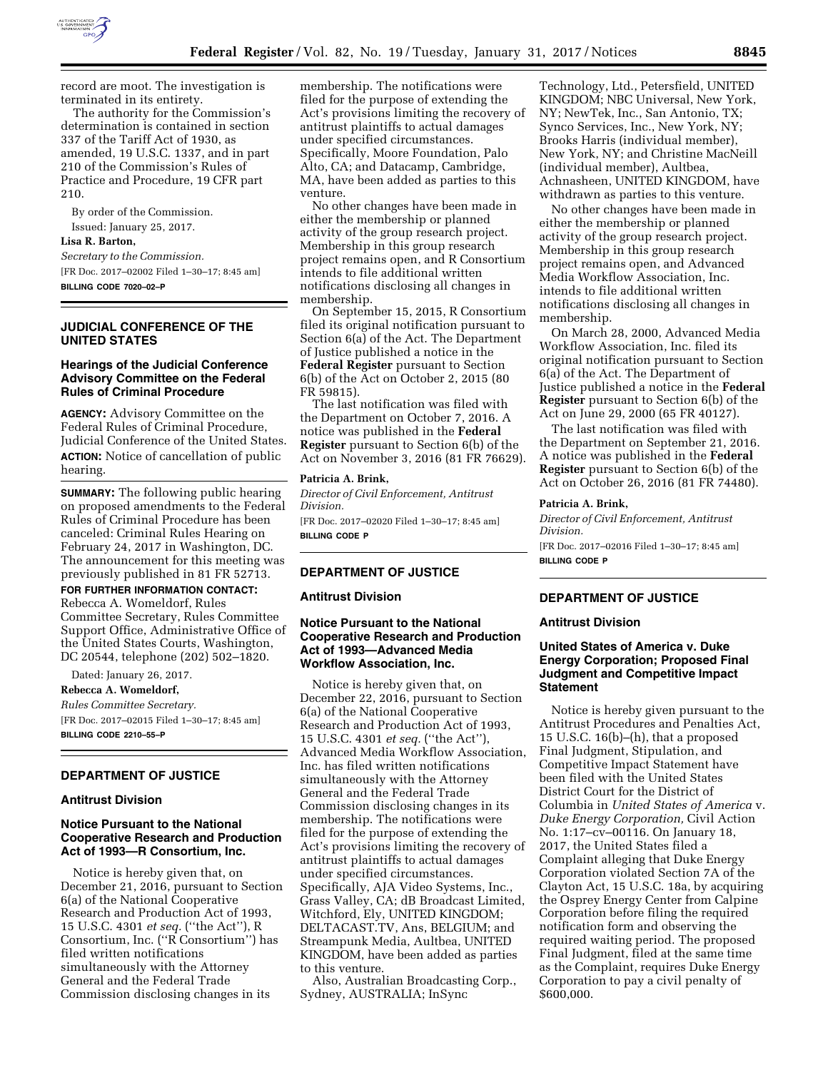

record are moot. The investigation is terminated in its entirety.

The authority for the Commission's determination is contained in section 337 of the Tariff Act of 1930, as amended, 19 U.S.C. 1337, and in part 210 of the Commission's Rules of Practice and Procedure, 19 CFR part 210.

By order of the Commission. Issued: January 25, 2017.

#### **Lisa R. Barton,**

*Secretary to the Commission.*  [FR Doc. 2017–02002 Filed 1–30–17; 8:45 am] **BILLING CODE 7020–02–P** 

# **JUDICIAL CONFERENCE OF THE UNITED STATES**

#### **Hearings of the Judicial Conference Advisory Committee on the Federal Rules of Criminal Procedure**

**AGENCY:** Advisory Committee on the Federal Rules of Criminal Procedure, Judicial Conference of the United States. **ACTION:** Notice of cancellation of public hearing.

**SUMMARY:** The following public hearing on proposed amendments to the Federal Rules of Criminal Procedure has been canceled: Criminal Rules Hearing on February 24, 2017 in Washington, DC. The announcement for this meeting was previously published in 81 FR 52713.

# **FOR FURTHER INFORMATION CONTACT:**

Rebecca A. Womeldorf, Rules Committee Secretary, Rules Committee Support Office, Administrative Office of the United States Courts, Washington, DC 20544, telephone (202) 502–1820.

Dated: January 26, 2017.

**Rebecca A. Womeldorf,**  *Rules Committee Secretary.*  [FR Doc. 2017–02015 Filed 1–30–17; 8:45 am] **BILLING CODE 2210–55–P** 

#### **DEPARTMENT OF JUSTICE**

#### **Antitrust Division**

# **Notice Pursuant to the National Cooperative Research and Production Act of 1993—R Consortium, Inc.**

Notice is hereby given that, on December 21, 2016, pursuant to Section 6(a) of the National Cooperative Research and Production Act of 1993, 15 U.S.C. 4301 *et seq.* (''the Act''), R Consortium, Inc. (''R Consortium'') has filed written notifications simultaneously with the Attorney General and the Federal Trade Commission disclosing changes in its

membership. The notifications were filed for the purpose of extending the Act's provisions limiting the recovery of antitrust plaintiffs to actual damages under specified circumstances. Specifically, Moore Foundation, Palo Alto, CA; and Datacamp, Cambridge, MA, have been added as parties to this venture.

No other changes have been made in either the membership or planned activity of the group research project. Membership in this group research project remains open, and R Consortium intends to file additional written notifications disclosing all changes in membership.

On September 15, 2015, R Consortium filed its original notification pursuant to Section 6(a) of the Act. The Department of Justice published a notice in the **Federal Register** pursuant to Section 6(b) of the Act on October 2, 2015 (80 FR 59815).

The last notification was filed with the Department on October 7, 2016. A notice was published in the **Federal Register** pursuant to Section 6(b) of the Act on November 3, 2016 (81 FR 76629).

#### **Patricia A. Brink,**

*Director of Civil Enforcement, Antitrust Division.* 

[FR Doc. 2017–02020 Filed 1–30–17; 8:45 am] **BILLING CODE P** 

# **DEPARTMENT OF JUSTICE**

#### **Antitrust Division**

# **Notice Pursuant to the National Cooperative Research and Production Act of 1993—Advanced Media Workflow Association, Inc.**

Notice is hereby given that, on December 22, 2016, pursuant to Section 6(a) of the National Cooperative Research and Production Act of 1993, 15 U.S.C. 4301 *et seq.* (''the Act''), Advanced Media Workflow Association, Inc. has filed written notifications simultaneously with the Attorney General and the Federal Trade Commission disclosing changes in its membership. The notifications were filed for the purpose of extending the Act's provisions limiting the recovery of antitrust plaintiffs to actual damages under specified circumstances. Specifically, AJA Video Systems, Inc., Grass Valley, CA; dB Broadcast Limited, Witchford, Ely, UNITED KINGDOM; DELTACAST.TV, Ans, BELGIUM; and Streampunk Media, Aultbea, UNITED KINGDOM, have been added as parties to this venture.

Also, Australian Broadcasting Corp., Sydney, AUSTRALIA; InSync

Technology, Ltd., Petersfield, UNITED KINGDOM; NBC Universal, New York, NY; NewTek, Inc., San Antonio, TX; Synco Services, Inc., New York, NY; Brooks Harris (individual member), New York, NY; and Christine MacNeill (individual member), Aultbea, Achnasheen, UNITED KINGDOM, have withdrawn as parties to this venture.

No other changes have been made in either the membership or planned activity of the group research project. Membership in this group research project remains open, and Advanced Media Workflow Association, Inc. intends to file additional written notifications disclosing all changes in membership.

On March 28, 2000, Advanced Media Workflow Association, Inc. filed its original notification pursuant to Section 6(a) of the Act. The Department of Justice published a notice in the **Federal Register** pursuant to Section 6(b) of the Act on June 29, 2000 (65 FR 40127).

The last notification was filed with the Department on September 21, 2016. A notice was published in the **Federal Register** pursuant to Section 6(b) of the Act on October 26, 2016 (81 FR 74480).

#### **Patricia A. Brink,**

*Director of Civil Enforcement, Antitrust Division.* 

[FR Doc. 2017–02016 Filed 1–30–17; 8:45 am] **BILLING CODE P** 

#### **DEPARTMENT OF JUSTICE**

#### **Antitrust Division**

# **United States of America v. Duke Energy Corporation; Proposed Final Judgment and Competitive Impact Statement**

Notice is hereby given pursuant to the Antitrust Procedures and Penalties Act, 15 U.S.C. 16(b)–(h), that a proposed Final Judgment, Stipulation, and Competitive Impact Statement have been filed with the United States District Court for the District of Columbia in *United States of America* v. *Duke Energy Corporation,* Civil Action No. 1:17–cv–00116. On January 18, 2017, the United States filed a Complaint alleging that Duke Energy Corporation violated Section 7A of the Clayton Act, 15 U.S.C. 18a, by acquiring the Osprey Energy Center from Calpine Corporation before filing the required notification form and observing the required waiting period. The proposed Final Judgment, filed at the same time as the Complaint, requires Duke Energy Corporation to pay a civil penalty of \$600,000.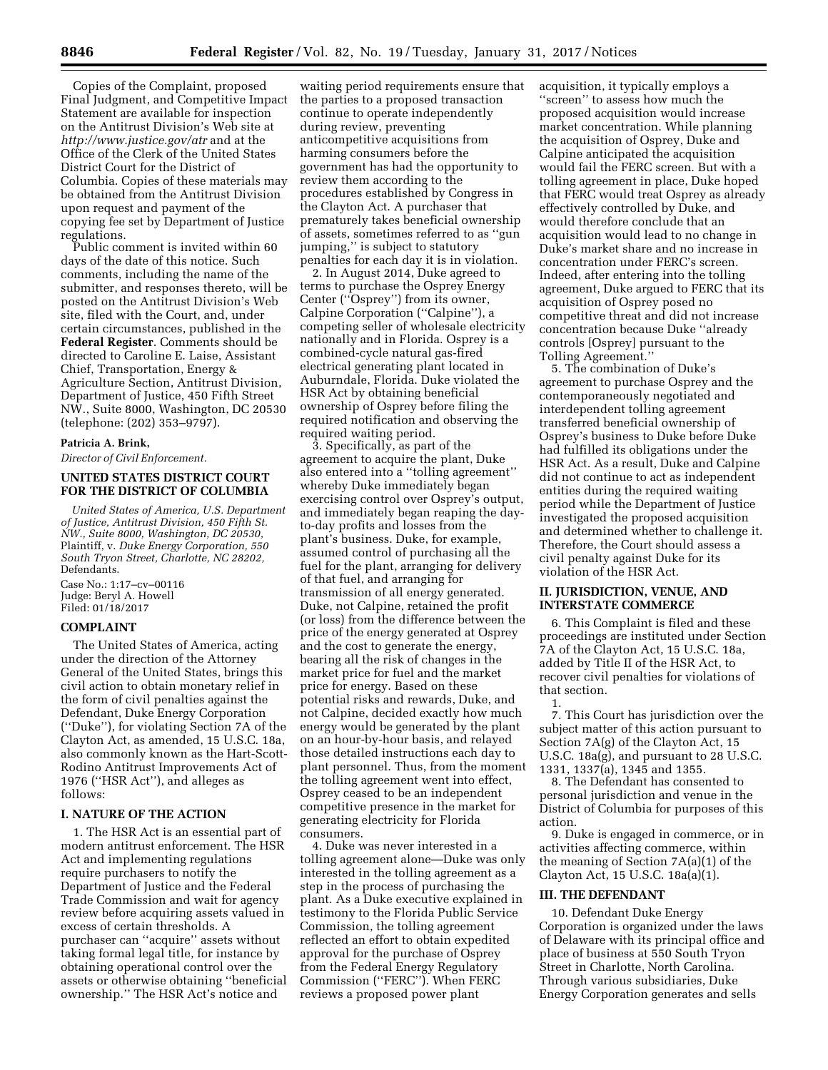Copies of the Complaint, proposed Final Judgment, and Competitive Impact Statement are available for inspection on the Antitrust Division's Web site at *<http://www.justice.gov/atr>* and at the Office of the Clerk of the United States District Court for the District of Columbia. Copies of these materials may be obtained from the Antitrust Division upon request and payment of the copying fee set by Department of Justice regulations.

Public comment is invited within 60 days of the date of this notice. Such comments, including the name of the submitter, and responses thereto, will be posted on the Antitrust Division's Web site, filed with the Court, and, under certain circumstances, published in the **Federal Register**. Comments should be directed to Caroline E. Laise, Assistant Chief, Transportation, Energy & Agriculture Section, Antitrust Division, Department of Justice, 450 Fifth Street NW., Suite 8000, Washington, DC 20530 (telephone: (202) 353–9797).

#### **Patricia A. Brink,**

*Director of Civil Enforcement.* 

# **UNITED STATES DISTRICT COURT FOR THE DISTRICT OF COLUMBIA**

*United States of America, U.S. Department of Justice, Antitrust Division, 450 Fifth St. NW., Suite 8000, Washington, DC 20530,*  Plaintiff, v. *Duke Energy Corporation, 550 South Tryon Street, Charlotte, NC 28202,*  Defendants.

Case No.: 1:17–cv–00116 Judge: Beryl A. Howell Filed: 01/18/2017

## **COMPLAINT**

The United States of America, acting under the direction of the Attorney General of the United States, brings this civil action to obtain monetary relief in the form of civil penalties against the Defendant, Duke Energy Corporation (''Duke''), for violating Section 7A of the Clayton Act, as amended, 15 U.S.C. 18a, also commonly known as the Hart-Scott-Rodino Antitrust Improvements Act of 1976 (''HSR Act''), and alleges as follows:

#### **I. NATURE OF THE ACTION**

1. The HSR Act is an essential part of modern antitrust enforcement. The HSR Act and implementing regulations require purchasers to notify the Department of Justice and the Federal Trade Commission and wait for agency review before acquiring assets valued in excess of certain thresholds. A purchaser can ''acquire'' assets without taking formal legal title, for instance by obtaining operational control over the assets or otherwise obtaining ''beneficial ownership.'' The HSR Act's notice and

waiting period requirements ensure that the parties to a proposed transaction continue to operate independently during review, preventing anticompetitive acquisitions from harming consumers before the government has had the opportunity to review them according to the procedures established by Congress in the Clayton Act. A purchaser that prematurely takes beneficial ownership of assets, sometimes referred to as ''gun jumping,'' is subject to statutory penalties for each day it is in violation.

2. In August 2014, Duke agreed to terms to purchase the Osprey Energy Center (''Osprey'') from its owner, Calpine Corporation (''Calpine''), a competing seller of wholesale electricity nationally and in Florida. Osprey is a combined-cycle natural gas-fired electrical generating plant located in Auburndale, Florida. Duke violated the HSR Act by obtaining beneficial ownership of Osprey before filing the required notification and observing the required waiting period.

3. Specifically, as part of the agreement to acquire the plant, Duke also entered into a ''tolling agreement'' whereby Duke immediately began exercising control over Osprey's output, and immediately began reaping the dayto-day profits and losses from the plant's business. Duke, for example, assumed control of purchasing all the fuel for the plant, arranging for delivery of that fuel, and arranging for transmission of all energy generated. Duke, not Calpine, retained the profit (or loss) from the difference between the price of the energy generated at Osprey and the cost to generate the energy, bearing all the risk of changes in the market price for fuel and the market price for energy. Based on these potential risks and rewards, Duke, and not Calpine, decided exactly how much energy would be generated by the plant on an hour-by-hour basis, and relayed those detailed instructions each day to plant personnel. Thus, from the moment the tolling agreement went into effect, Osprey ceased to be an independent competitive presence in the market for generating electricity for Florida consumers.

4. Duke was never interested in a tolling agreement alone—Duke was only interested in the tolling agreement as a step in the process of purchasing the plant. As a Duke executive explained in testimony to the Florida Public Service Commission, the tolling agreement reflected an effort to obtain expedited approval for the purchase of Osprey from the Federal Energy Regulatory Commission (''FERC''). When FERC reviews a proposed power plant

acquisition, it typically employs a ''screen'' to assess how much the proposed acquisition would increase market concentration. While planning the acquisition of Osprey, Duke and Calpine anticipated the acquisition would fail the FERC screen. But with a tolling agreement in place, Duke hoped that FERC would treat Osprey as already effectively controlled by Duke, and would therefore conclude that an acquisition would lead to no change in Duke's market share and no increase in concentration under FERC's screen. Indeed, after entering into the tolling agreement, Duke argued to FERC that its acquisition of Osprey posed no competitive threat and did not increase concentration because Duke ''already controls [Osprey] pursuant to the Tolling Agreement.''

5. The combination of Duke's agreement to purchase Osprey and the contemporaneously negotiated and interdependent tolling agreement transferred beneficial ownership of Osprey's business to Duke before Duke had fulfilled its obligations under the HSR Act. As a result, Duke and Calpine did not continue to act as independent entities during the required waiting period while the Department of Justice investigated the proposed acquisition and determined whether to challenge it. Therefore, the Court should assess a civil penalty against Duke for its violation of the HSR Act.

#### **II. JURISDICTION, VENUE, AND INTERSTATE COMMERCE**

6. This Complaint is filed and these proceedings are instituted under Section 7A of the Clayton Act, 15 U.S.C. 18a, added by Title II of the HSR Act, to recover civil penalties for violations of that section.

7. This Court has jurisdiction over the subject matter of this action pursuant to Section 7A(g) of the Clayton Act, 15 U.S.C. 18a(g), and pursuant to 28 U.S.C. 1331, 1337(a), 1345 and 1355.

8. The Defendant has consented to personal jurisdiction and venue in the District of Columbia for purposes of this action.

9. Duke is engaged in commerce, or in activities affecting commerce, within the meaning of Section 7A(a)(1) of the Clayton Act, 15 U.S.C. 18a(a)(1).

#### **III. THE DEFENDANT**

10. Defendant Duke Energy Corporation is organized under the laws of Delaware with its principal office and place of business at 550 South Tryon Street in Charlotte, North Carolina. Through various subsidiaries, Duke Energy Corporation generates and sells

<sup>1.</sup>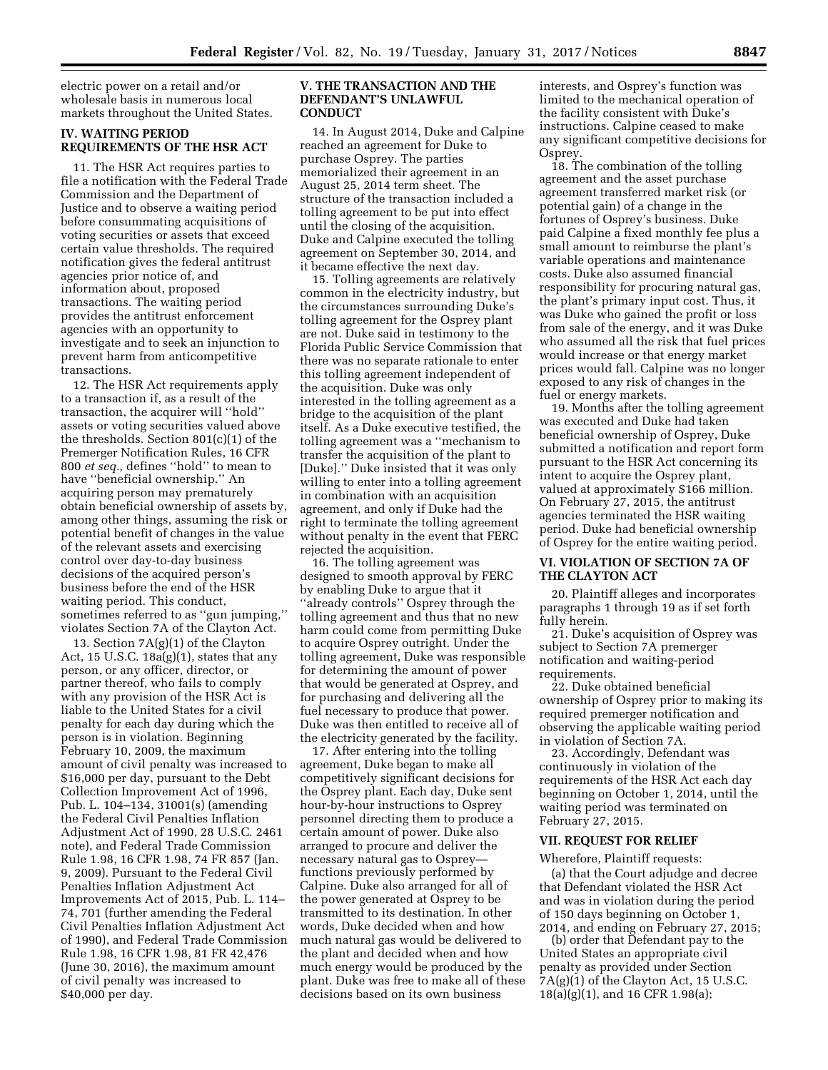electric power on a retail and/or wholesale basis in numerous local markets throughout the United States.

#### **IV. WAITING PERIOD REQUIREMENTS OF THE HSR ACT**

11. The HSR Act requires parties to file a notification with the Federal Trade Commission and the Department of Justice and to observe a waiting period before consummating acquisitions of voting securities or assets that exceed certain value thresholds. The required notification gives the federal antitrust agencies prior notice of, and information about, proposed transactions. The waiting period provides the antitrust enforcement agencies with an opportunity to investigate and to seek an injunction to prevent harm from anticompetitive transactions.

12. The HSR Act requirements apply to a transaction if, as a result of the transaction, the acquirer will ''hold'' assets or voting securities valued above the thresholds. Section 801(c)(1) of the Premerger Notification Rules, 16 CFR 800 *et seq.,* defines ''hold'' to mean to have ''beneficial ownership.'' An acquiring person may prematurely obtain beneficial ownership of assets by, among other things, assuming the risk or potential benefit of changes in the value of the relevant assets and exercising control over day-to-day business decisions of the acquired person's business before the end of the HSR waiting period. This conduct, sometimes referred to as ''gun jumping,'' violates Section 7A of the Clayton Act.

13. Section 7A(g)(1) of the Clayton Act, 15 U.S.C. 18a(g)(1), states that any person, or any officer, director, or partner thereof, who fails to comply with any provision of the HSR Act is liable to the United States for a civil penalty for each day during which the person is in violation. Beginning February 10, 2009, the maximum amount of civil penalty was increased to \$16,000 per day, pursuant to the Debt Collection Improvement Act of 1996, Pub. L. 104–134, 31001(s) (amending the Federal Civil Penalties Inflation Adjustment Act of 1990, 28 U.S.C. 2461 note), and Federal Trade Commission Rule 1.98, 16 CFR 1.98, 74 FR 857 (Jan. 9, 2009). Pursuant to the Federal Civil Penalties Inflation Adjustment Act Improvements Act of 2015, Pub. L. 114– 74, 701 (further amending the Federal Civil Penalties Inflation Adjustment Act of 1990), and Federal Trade Commission Rule 1.98, 16 CFR 1.98, 81 FR 42,476 (June 30, 2016), the maximum amount of civil penalty was increased to \$40,000 per day.

### **V. THE TRANSACTION AND THE DEFENDANT'S UNLAWFUL CONDUCT**

14. In August 2014, Duke and Calpine reached an agreement for Duke to purchase Osprey. The parties memorialized their agreement in an August 25, 2014 term sheet. The structure of the transaction included a tolling agreement to be put into effect until the closing of the acquisition. Duke and Calpine executed the tolling agreement on September 30, 2014, and it became effective the next day.

15. Tolling agreements are relatively common in the electricity industry, but the circumstances surrounding Duke's tolling agreement for the Osprey plant are not. Duke said in testimony to the Florida Public Service Commission that there was no separate rationale to enter this tolling agreement independent of the acquisition. Duke was only interested in the tolling agreement as a bridge to the acquisition of the plant itself. As a Duke executive testified, the tolling agreement was a ''mechanism to transfer the acquisition of the plant to [Duke].'' Duke insisted that it was only willing to enter into a tolling agreement in combination with an acquisition agreement, and only if Duke had the right to terminate the tolling agreement without penalty in the event that FERC rejected the acquisition.

16. The tolling agreement was designed to smooth approval by FERC by enabling Duke to argue that it ''already controls'' Osprey through the tolling agreement and thus that no new harm could come from permitting Duke to acquire Osprey outright. Under the tolling agreement, Duke was responsible for determining the amount of power that would be generated at Osprey, and for purchasing and delivering all the fuel necessary to produce that power. Duke was then entitled to receive all of the electricity generated by the facility.

17. After entering into the tolling agreement, Duke began to make all competitively significant decisions for the Osprey plant. Each day, Duke sent hour-by-hour instructions to Osprey personnel directing them to produce a certain amount of power. Duke also arranged to procure and deliver the necessary natural gas to Osprey functions previously performed by Calpine. Duke also arranged for all of the power generated at Osprey to be transmitted to its destination. In other words, Duke decided when and how much natural gas would be delivered to the plant and decided when and how much energy would be produced by the plant. Duke was free to make all of these decisions based on its own business

interests, and Osprey's function was limited to the mechanical operation of the facility consistent with Duke's instructions. Calpine ceased to make any significant competitive decisions for Osprey.

18. The combination of the tolling agreement and the asset purchase agreement transferred market risk (or potential gain) of a change in the fortunes of Osprey's business. Duke paid Calpine a fixed monthly fee plus a small amount to reimburse the plant's variable operations and maintenance costs. Duke also assumed financial responsibility for procuring natural gas, the plant's primary input cost. Thus, it was Duke who gained the profit or loss from sale of the energy, and it was Duke who assumed all the risk that fuel prices would increase or that energy market prices would fall. Calpine was no longer exposed to any risk of changes in the fuel or energy markets.

19. Months after the tolling agreement was executed and Duke had taken beneficial ownership of Osprey, Duke submitted a notification and report form pursuant to the HSR Act concerning its intent to acquire the Osprey plant, valued at approximately \$166 million. On February 27, 2015, the antitrust agencies terminated the HSR waiting period. Duke had beneficial ownership of Osprey for the entire waiting period.

# **VI. VIOLATION OF SECTION 7A OF THE CLAYTON ACT**

20. Plaintiff alleges and incorporates paragraphs 1 through 19 as if set forth fully herein.

21. Duke's acquisition of Osprey was subject to Section 7A premerger notification and waiting-period requirements.

22. Duke obtained beneficial ownership of Osprey prior to making its required premerger notification and observing the applicable waiting period in violation of Section 7A.

23. Accordingly, Defendant was continuously in violation of the requirements of the HSR Act each day beginning on October 1, 2014, until the waiting period was terminated on February 27, 2015.

#### **VII. REQUEST FOR RELIEF**

#### Wherefore, Plaintiff requests:

(a) that the Court adjudge and decree that Defendant violated the HSR Act and was in violation during the period of 150 days beginning on October 1, 2014, and ending on February 27, 2015;

(b) order that Defendant pay to the United States an appropriate civil penalty as provided under Section 7A(g)(1) of the Clayton Act, 15 U.S.C. 18(a)(g)(1), and 16 CFR 1.98(a);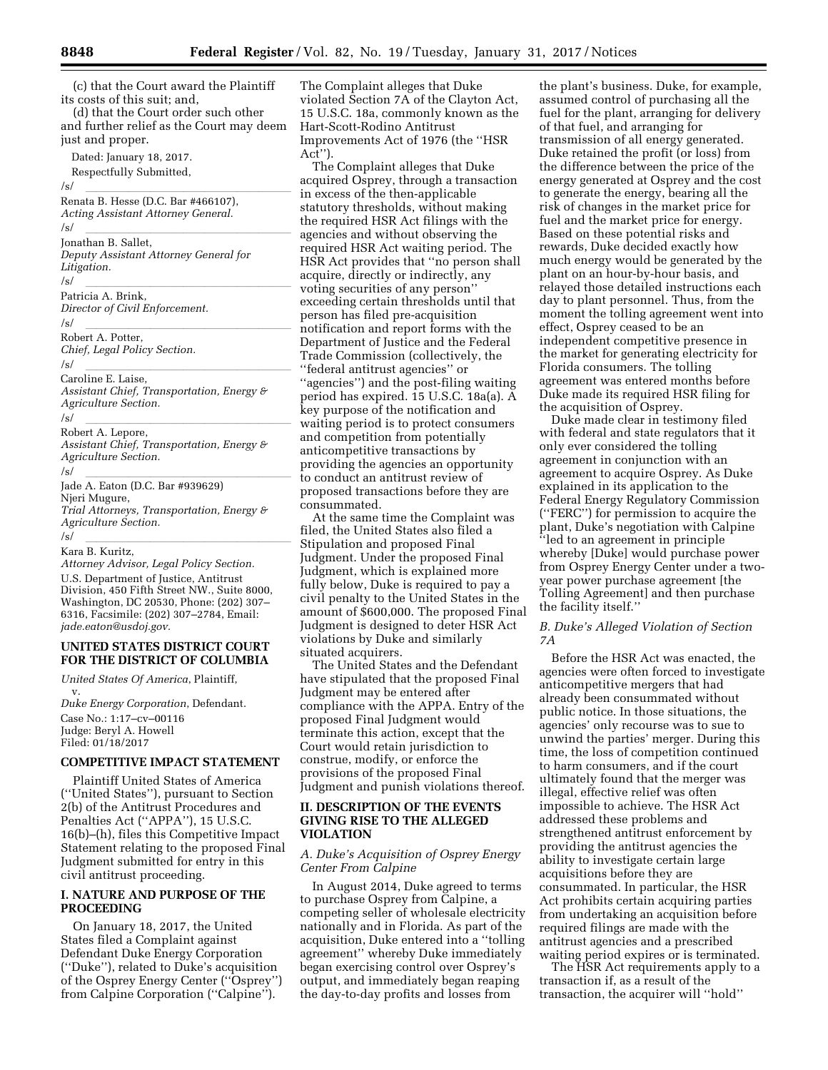(c) that the Court award the Plaintiff its costs of this suit; and,

(d) that the Court order such other and further relief as the Court may deem just and proper.

Dated: January 18, 2017. Respectfully Submitted, /s/ lllllllllllllllllll Renata B. Hesse (D.C. Bar #466107), *Acting Assistant Attorney General.*  /s/ lllllllllllllllllll Jonathan B. Sallet, *Deputy Assistant Attorney General for Litigation.*  /s/ lllllllllllllllllll Patricia A. Brink, *Director of Civil Enforcement.*  /s/<br>Behert A. Better Robert A. Potter, *Chief, Legal Policy Section.*  /s/ lllllllllllllllllll Caroline E. Laise, *Assistant Chief, Transportation, Energy & Agriculture Section.*  /s/<br>Bebert A. Leners Robert A. Lepore, *Assistant Chief, Transportation, Energy & Agriculture Section.*  /s/ lllllllllllllllllll Jade A. Eaton (D.C. Bar #939629) Njeri Mugure, *Trial Attorneys, Transportation, Energy & Agriculture Section.* 

#### /s/<br>Karo B. Kuritz Kara B. Kuritz,

*Attorney Advisor, Legal Policy Section.*  U.S. Department of Justice, Antitrust Division, 450 Fifth Street NW., Suite 8000, Washington, DC 20530, Phone: (202) 307– 6316, Facsimile: (202) 307–2784, Email: *[jade.eaton@usdoj.gov.](mailto:jade.eaton@usdoj.gov)* 

# **UNITED STATES DISTRICT COURT FOR THE DISTRICT OF COLUMBIA**

*United States Of America*, Plaintiff, v. *Duke Energy Corporation*, Defendant. Case No.: 1:17–cv–00116

Judge: Beryl A. Howell Filed: 01/18/2017

## **COMPETITIVE IMPACT STATEMENT**

Plaintiff United States of America (''United States''), pursuant to Section 2(b) of the Antitrust Procedures and Penalties Act (''APPA''), 15 U.S.C. 16(b)–(h), files this Competitive Impact Statement relating to the proposed Final Judgment submitted for entry in this civil antitrust proceeding.

#### **I. NATURE AND PURPOSE OF THE PROCEEDING**

On January 18, 2017, the United States filed a Complaint against Defendant Duke Energy Corporation (''Duke''), related to Duke's acquisition of the Osprey Energy Center (''Osprey'') from Calpine Corporation ("Calpine").

The Complaint alleges that Duke violated Section 7A of the Clayton Act, 15 U.S.C. 18a, commonly known as the Hart-Scott-Rodino Antitrust Improvements Act of 1976 (the ''HSR Act'').

The Complaint alleges that Duke acquired Osprey, through a transaction in excess of the then-applicable statutory thresholds, without making the required HSR Act filings with the agencies and without observing the required HSR Act waiting period. The HSR Act provides that ''no person shall acquire, directly or indirectly, any voting securities of any person'' exceeding certain thresholds until that person has filed pre-acquisition notification and report forms with the Department of Justice and the Federal Trade Commission (collectively, the ''federal antitrust agencies'' or ''agencies'') and the post-filing waiting period has expired. 15 U.S.C. 18a(a). A key purpose of the notification and waiting period is to protect consumers and competition from potentially anticompetitive transactions by providing the agencies an opportunity to conduct an antitrust review of proposed transactions before they are consummated.

At the same time the Complaint was filed, the United States also filed a Stipulation and proposed Final Judgment. Under the proposed Final Judgment, which is explained more fully below, Duke is required to pay a civil penalty to the United States in the amount of \$600,000. The proposed Final Judgment is designed to deter HSR Act violations by Duke and similarly situated acquirers.

The United States and the Defendant have stipulated that the proposed Final Judgment may be entered after compliance with the APPA. Entry of the proposed Final Judgment would terminate this action, except that the Court would retain jurisdiction to construe, modify, or enforce the provisions of the proposed Final Judgment and punish violations thereof.

### **II. DESCRIPTION OF THE EVENTS GIVING RISE TO THE ALLEGED VIOLATION**

## *A. Duke's Acquisition of Osprey Energy Center From Calpine*

In August 2014, Duke agreed to terms to purchase Osprey from Calpine, a competing seller of wholesale electricity nationally and in Florida. As part of the acquisition, Duke entered into a ''tolling agreement'' whereby Duke immediately began exercising control over Osprey's output, and immediately began reaping the day-to-day profits and losses from

the plant's business. Duke, for example, assumed control of purchasing all the fuel for the plant, arranging for delivery of that fuel, and arranging for transmission of all energy generated. Duke retained the profit (or loss) from the difference between the price of the energy generated at Osprey and the cost to generate the energy, bearing all the risk of changes in the market price for fuel and the market price for energy. Based on these potential risks and rewards, Duke decided exactly how much energy would be generated by the plant on an hour-by-hour basis, and relayed those detailed instructions each day to plant personnel. Thus, from the moment the tolling agreement went into effect, Osprey ceased to be an independent competitive presence in the market for generating electricity for Florida consumers. The tolling agreement was entered months before Duke made its required HSR filing for the acquisition of Osprey.

Duke made clear in testimony filed with federal and state regulators that it only ever considered the tolling agreement in conjunction with an agreement to acquire Osprey. As Duke explained in its application to the Federal Energy Regulatory Commission (''FERC'') for permission to acquire the plant, Duke's negotiation with Calpine ''led to an agreement in principle whereby [Duke] would purchase power from Osprey Energy Center under a twoyear power purchase agreement [the Tolling Agreement] and then purchase the facility itself.''

# *B. Duke's Alleged Violation of Section 7A*

Before the HSR Act was enacted, the agencies were often forced to investigate anticompetitive mergers that had already been consummated without public notice. In those situations, the agencies' only recourse was to sue to unwind the parties' merger. During this time, the loss of competition continued to harm consumers, and if the court ultimately found that the merger was illegal, effective relief was often impossible to achieve. The HSR Act addressed these problems and strengthened antitrust enforcement by providing the antitrust agencies the ability to investigate certain large acquisitions before they are consummated. In particular, the HSR Act prohibits certain acquiring parties from undertaking an acquisition before required filings are made with the antitrust agencies and a prescribed waiting period expires or is terminated.

The HSR Act requirements apply to a transaction if, as a result of the transaction, the acquirer will ''hold''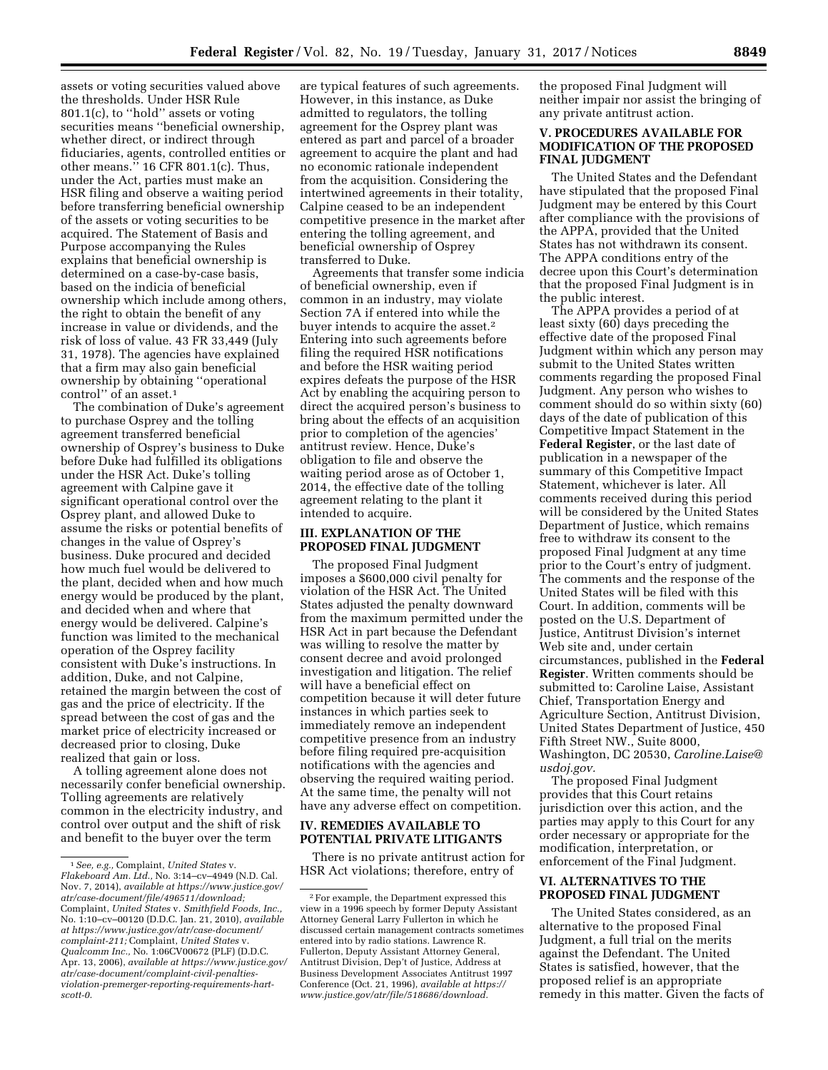assets or voting securities valued above the thresholds. Under HSR Rule 801.1(c), to ''hold'' assets or voting securities means "beneficial ownership, whether direct, or indirect through fiduciaries, agents, controlled entities or other means.'' 16 CFR 801.1(c). Thus, under the Act, parties must make an HSR filing and observe a waiting period before transferring beneficial ownership of the assets or voting securities to be acquired. The Statement of Basis and Purpose accompanying the Rules explains that beneficial ownership is determined on a case-by-case basis, based on the indicia of beneficial ownership which include among others, the right to obtain the benefit of any increase in value or dividends, and the risk of loss of value. 43 FR 33,449 (July 31, 1978). The agencies have explained that a firm may also gain beneficial ownership by obtaining ''operational control" of an asset.<sup>1</sup>

The combination of Duke's agreement to purchase Osprey and the tolling agreement transferred beneficial ownership of Osprey's business to Duke before Duke had fulfilled its obligations under the HSR Act. Duke's tolling agreement with Calpine gave it significant operational control over the Osprey plant, and allowed Duke to assume the risks or potential benefits of changes in the value of Osprey's business. Duke procured and decided how much fuel would be delivered to the plant, decided when and how much energy would be produced by the plant, and decided when and where that energy would be delivered. Calpine's function was limited to the mechanical operation of the Osprey facility consistent with Duke's instructions. In addition, Duke, and not Calpine, retained the margin between the cost of gas and the price of electricity. If the spread between the cost of gas and the market price of electricity increased or decreased prior to closing, Duke realized that gain or loss.

A tolling agreement alone does not necessarily confer beneficial ownership. Tolling agreements are relatively common in the electricity industry, and control over output and the shift of risk and benefit to the buyer over the term

are typical features of such agreements. However, in this instance, as Duke admitted to regulators, the tolling agreement for the Osprey plant was entered as part and parcel of a broader agreement to acquire the plant and had no economic rationale independent from the acquisition. Considering the intertwined agreements in their totality, Calpine ceased to be an independent competitive presence in the market after entering the tolling agreement, and beneficial ownership of Osprey transferred to Duke.

Agreements that transfer some indicia of beneficial ownership, even if common in an industry, may violate Section 7A if entered into while the buyer intends to acquire the asset.<sup>2</sup> Entering into such agreements before filing the required HSR notifications and before the HSR waiting period expires defeats the purpose of the HSR Act by enabling the acquiring person to direct the acquired person's business to bring about the effects of an acquisition prior to completion of the agencies' antitrust review. Hence, Duke's obligation to file and observe the waiting period arose as of October 1, 2014, the effective date of the tolling agreement relating to the plant it intended to acquire.

## **III. EXPLANATION OF THE PROPOSED FINAL JUDGMENT**

The proposed Final Judgment imposes a \$600,000 civil penalty for violation of the HSR Act. The United States adjusted the penalty downward from the maximum permitted under the HSR Act in part because the Defendant was willing to resolve the matter by consent decree and avoid prolonged investigation and litigation. The relief will have a beneficial effect on competition because it will deter future instances in which parties seek to immediately remove an independent competitive presence from an industry before filing required pre-acquisition notifications with the agencies and observing the required waiting period. At the same time, the penalty will not have any adverse effect on competition.

# **IV. REMEDIES AVAILABLE TO POTENTIAL PRIVATE LITIGANTS**

There is no private antitrust action for HSR Act violations; therefore, entry of

the proposed Final Judgment will neither impair nor assist the bringing of any private antitrust action.

# **V. PROCEDURES AVAILABLE FOR MODIFICATION OF THE PROPOSED FINAL JUDGMENT**

The United States and the Defendant have stipulated that the proposed Final Judgment may be entered by this Court after compliance with the provisions of the APPA, provided that the United States has not withdrawn its consent. The APPA conditions entry of the decree upon this Court's determination that the proposed Final Judgment is in the public interest.

The APPA provides a period of at least sixty (60) days preceding the effective date of the proposed Final Judgment within which any person may submit to the United States written comments regarding the proposed Final Judgment. Any person who wishes to comment should do so within sixty (60) days of the date of publication of this Competitive Impact Statement in the **Federal Register**, or the last date of publication in a newspaper of the summary of this Competitive Impact Statement, whichever is later. All comments received during this period will be considered by the United States Department of Justice, which remains free to withdraw its consent to the proposed Final Judgment at any time prior to the Court's entry of judgment. The comments and the response of the United States will be filed with this Court. In addition, comments will be posted on the U.S. Department of Justice, Antitrust Division's internet Web site and, under certain circumstances, published in the **Federal Register**. Written comments should be submitted to: Caroline Laise, Assistant Chief, Transportation Energy and Agriculture Section, Antitrust Division, United States Department of Justice, 450 Fifth Street NW., Suite 8000, Washington, DC 20530, *[Caroline.Laise@](mailto:Caroline.Laise@usdoj.gov) [usdoj.gov.](mailto:Caroline.Laise@usdoj.gov)* 

The proposed Final Judgment provides that this Court retains jurisdiction over this action, and the parties may apply to this Court for any order necessary or appropriate for the modification, interpretation, or enforcement of the Final Judgment.

# **VI. ALTERNATIVES TO THE PROPOSED FINAL JUDGMENT**

The United States considered, as an alternative to the proposed Final Judgment, a full trial on the merits against the Defendant. The United States is satisfied, however, that the proposed relief is an appropriate remedy in this matter. Given the facts of

<sup>1</sup>*See, e.g.,* Complaint, *United States* v. *Flakeboard Am. Ltd.,* No. 3:14–cv–4949 (N.D. Cal. Nov. 7, 2014), *available at [https://www.justice.gov/](https://www.justice.gov/atr/case-document/file/496511/download) [atr/case-document/file/496511/download;](https://www.justice.gov/atr/case-document/file/496511/download)*  Complaint, *United States* v. *Smithfield Foods, Inc.,*  No. 1:10–cv–00120 (D.D.C. Jan. 21, 2010), *available at [https://www.justice.gov/atr/case-document/](https://www.justice.gov/atr/case-document/complaint-211) [complaint-211;](https://www.justice.gov/atr/case-document/complaint-211)* Complaint, *United States* v. *Qualcomm Inc.,* No. 1:06CV00672 (PLF) (D.D.C. Apr. 13, 2006), *available at [https://www.justice.gov/](https://www.justice.gov/atr/case-document/complaint-civil-penalties-violation-premerger-reporting-requirements-hart-scott-0) [atr/case-document/complaint-civil-penalties](https://www.justice.gov/atr/case-document/complaint-civil-penalties-violation-premerger-reporting-requirements-hart-scott-0)[violation-premerger-reporting-requirements-hart](https://www.justice.gov/atr/case-document/complaint-civil-penalties-violation-premerger-reporting-requirements-hart-scott-0)[scott-0.](https://www.justice.gov/atr/case-document/complaint-civil-penalties-violation-premerger-reporting-requirements-hart-scott-0)* 

<sup>2</sup>For example, the Department expressed this view in a 1996 speech by former Deputy Assistant Attorney General Larry Fullerton in which he discussed certain management contracts sometimes entered into by radio stations. Lawrence R. Fullerton, Deputy Assistant Attorney General, Antitrust Division, Dep't of Justice, Address at Business Development Associates Antitrust 1997 Conference (Oct. 21, 1996), *available at [https://](https://www.justice.gov/atr/file/518686/download) [www.justice.gov/atr/file/518686/download.](https://www.justice.gov/atr/file/518686/download)*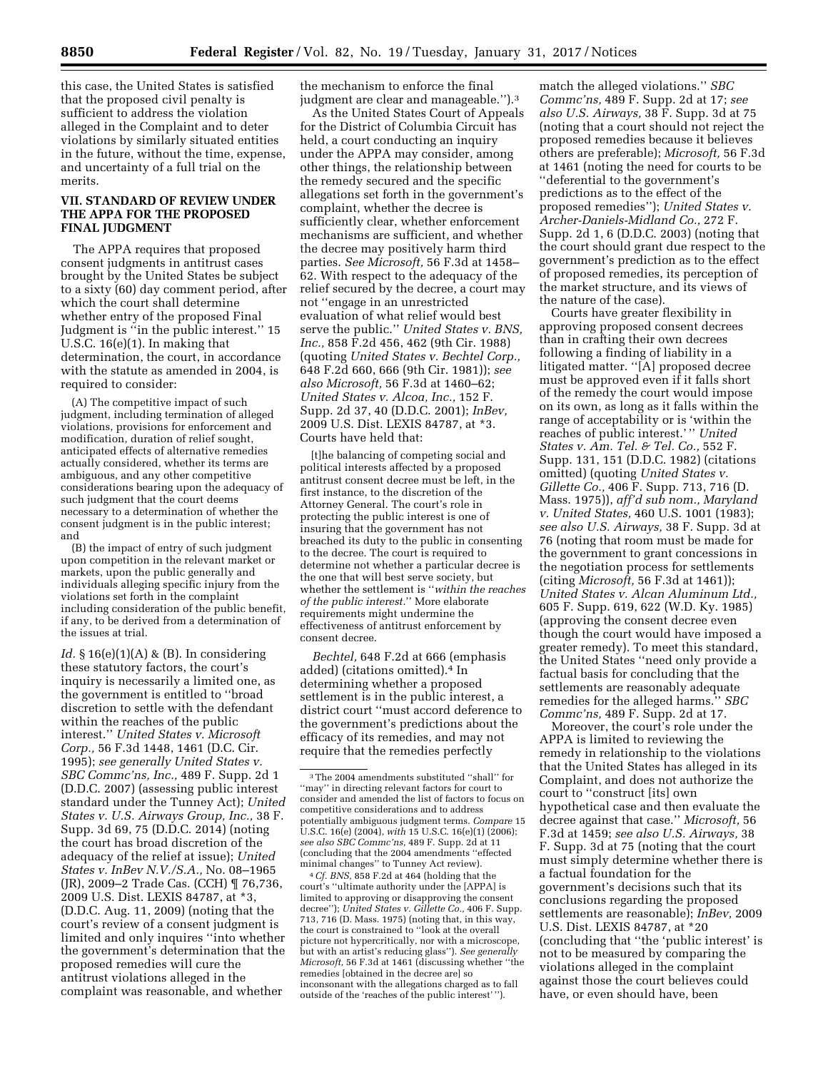this case, the United States is satisfied that the proposed civil penalty is sufficient to address the violation alleged in the Complaint and to deter violations by similarly situated entities in the future, without the time, expense, and uncertainty of a full trial on the merits.

# **VII. STANDARD OF REVIEW UNDER THE APPA FOR THE PROPOSED FINAL JUDGMENT**

The APPA requires that proposed consent judgments in antitrust cases brought by the United States be subject to a sixty (60) day comment period, after which the court shall determine whether entry of the proposed Final Judgment is ''in the public interest.'' 15 U.S.C. 16(e)(1). In making that determination, the court, in accordance with the statute as amended in 2004, is required to consider:

(A) The competitive impact of such judgment, including termination of alleged violations, provisions for enforcement and modification, duration of relief sought, anticipated effects of alternative remedies actually considered, whether its terms are ambiguous, and any other competitive considerations bearing upon the adequacy of such judgment that the court deems necessary to a determination of whether the consent judgment is in the public interest; and

(B) the impact of entry of such judgment upon competition in the relevant market or markets, upon the public generally and individuals alleging specific injury from the violations set forth in the complaint including consideration of the public benefit, if any, to be derived from a determination of the issues at trial.

*Id.* § 16(e)(1)(A) & (B). In considering these statutory factors, the court's inquiry is necessarily a limited one, as the government is entitled to ''broad discretion to settle with the defendant within the reaches of the public interest.'' *United States v. Microsoft Corp.,* 56 F.3d 1448, 1461 (D.C. Cir. 1995); *see generally United States v. SBC Commc'ns, Inc.,* 489 F. Supp. 2d 1 (D.D.C. 2007) (assessing public interest standard under the Tunney Act); *United States v. U.S. Airways Group, Inc.,* 38 F. Supp. 3d 69, 75 (D.D.C. 2014) (noting the court has broad discretion of the adequacy of the relief at issue); *United States v. InBev N.V./S.A.,* No. 08–1965 (JR), 2009–2 Trade Cas. (CCH) ¶ 76,736, 2009 U.S. Dist. LEXIS 84787, at \*3, (D.D.C. Aug. 11, 2009) (noting that the court's review of a consent judgment is limited and only inquires ''into whether the government's determination that the proposed remedies will cure the antitrust violations alleged in the complaint was reasonable, and whether

the mechanism to enforce the final judgment are clear and manageable.'').3

As the United States Court of Appeals for the District of Columbia Circuit has held, a court conducting an inquiry under the APPA may consider, among other things, the relationship between the remedy secured and the specific allegations set forth in the government's complaint, whether the decree is sufficiently clear, whether enforcement mechanisms are sufficient, and whether the decree may positively harm third parties. *See Microsoft,* 56 F.3d at 1458– 62. With respect to the adequacy of the relief secured by the decree, a court may not ''engage in an unrestricted evaluation of what relief would best serve the public.'' *United States v. BNS, Inc.,* 858 F.2d 456, 462 (9th Cir. 1988) (quoting *United States v. Bechtel Corp.,*  648 F.2d 660, 666 (9th Cir. 1981)); *see also Microsoft,* 56 F.3d at 1460–62; *United States v. Alcoa, Inc.,* 152 F. Supp. 2d 37, 40 (D.D.C. 2001); *InBev,*  2009 U.S. Dist. LEXIS 84787, at \*3. Courts have held that:

[t]he balancing of competing social and political interests affected by a proposed antitrust consent decree must be left, in the first instance, to the discretion of the Attorney General. The court's role in protecting the public interest is one of insuring that the government has not breached its duty to the public in consenting to the decree. The court is required to determine not whether a particular decree is the one that will best serve society, but whether the settlement is ''*within the reaches of the public interest.*'' More elaborate requirements might undermine the effectiveness of antitrust enforcement by consent decree.

*Bechtel,* 648 F.2d at 666 (emphasis added) (citations omitted).4 In determining whether a proposed settlement is in the public interest, a district court ''must accord deference to the government's predictions about the efficacy of its remedies, and may not require that the remedies perfectly

4*Cf. BNS,* 858 F.2d at 464 (holding that the court's ''ultimate authority under the [APPA] is limited to approving or disapproving the consent decree''); *United States v. Gillette Co.,* 406 F. Supp. 713, 716 (D. Mass. 1975) (noting that, in this way, the court is constrained to ''look at the overall picture not hypercritically, nor with a microscope, but with an artist's reducing glass''). *See generally Microsoft,* 56 F.3d at 1461 (discussing whether ''the remedies [obtained in the decree are] so inconsonant with the allegations charged as to fall outside of the 'reaches of the public interest' '').

match the alleged violations.'' *SBC Commc'ns,* 489 F. Supp. 2d at 17; *see also U.S. Airways,* 38 F. Supp. 3d at 75 (noting that a court should not reject the proposed remedies because it believes others are preferable); *Microsoft,* 56 F.3d at 1461 (noting the need for courts to be ''deferential to the government's predictions as to the effect of the proposed remedies''); *United States v. Archer-Daniels-Midland Co.,* 272 F. Supp. 2d 1, 6 (D.D.C. 2003) (noting that the court should grant due respect to the government's prediction as to the effect of proposed remedies, its perception of the market structure, and its views of the nature of the case).

Courts have greater flexibility in approving proposed consent decrees than in crafting their own decrees following a finding of liability in a litigated matter. ''[A] proposed decree must be approved even if it falls short of the remedy the court would impose on its own, as long as it falls within the range of acceptability or is 'within the reaches of public interest.' '' *United States v. Am. Tel. & Tel. Co.,* 552 F. Supp. 131, 151 (D.D.C. 1982) (citations omitted) (quoting *United States v. Gillette Co.,* 406 F. Supp. 713, 716 (D. Mass. 1975)), *aff'd sub nom., Maryland v. United States,* 460 U.S. 1001 (1983); *see also U.S. Airways,* 38 F. Supp. 3d at 76 (noting that room must be made for the government to grant concessions in the negotiation process for settlements (citing *Microsoft,* 56 F.3d at 1461)); *United States v. Alcan Aluminum Ltd.,*  605 F. Supp. 619, 622 (W.D. Ky. 1985) (approving the consent decree even though the court would have imposed a greater remedy). To meet this standard, the United States ''need only provide a factual basis for concluding that the settlements are reasonably adequate remedies for the alleged harms.'' *SBC Commc'ns,* 489 F. Supp. 2d at 17.

Moreover, the court's role under the APPA is limited to reviewing the remedy in relationship to the violations that the United States has alleged in its Complaint, and does not authorize the court to ''construct [its] own hypothetical case and then evaluate the decree against that case.'' *Microsoft,* 56 F.3d at 1459; *see also U.S. Airways,* 38 F. Supp. 3d at 75 (noting that the court must simply determine whether there is a factual foundation for the government's decisions such that its conclusions regarding the proposed settlements are reasonable); *InBev,* 2009 U.S. Dist. LEXIS 84787, at \*20 (concluding that ''the 'public interest' is not to be measured by comparing the violations alleged in the complaint against those the court believes could have, or even should have, been

<sup>3</sup>The 2004 amendments substituted ''shall'' for ''may'' in directing relevant factors for court to consider and amended the list of factors to focus on competitive considerations and to address potentially ambiguous judgment terms. *Compare* 15 U.S.C. 16(e) (2004), *with* 15 U.S.C. 16(e)(1) (2006); *see also SBC Commc'ns,* 489 F. Supp. 2d at 11 (concluding that the 2004 amendments ''effected minimal changes'' to Tunney Act review).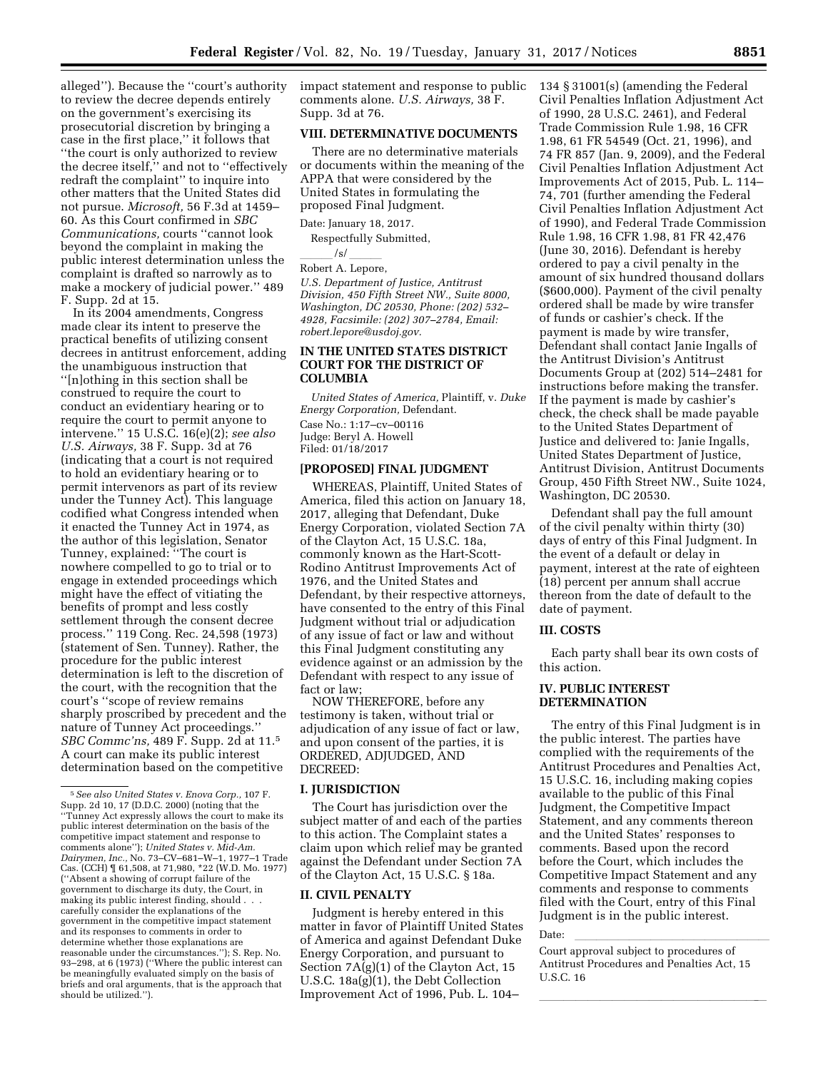alleged''). Because the ''court's authority to review the decree depends entirely on the government's exercising its prosecutorial discretion by bringing a case in the first place,'' it follows that ''the court is only authorized to review the decree itself,'' and not to ''effectively redraft the complaint'' to inquire into other matters that the United States did not pursue. *Microsoft,* 56 F.3d at 1459– 60. As this Court confirmed in *SBC Communications,* courts ''cannot look beyond the complaint in making the public interest determination unless the complaint is drafted so narrowly as to make a mockery of judicial power.'' 489 F. Supp. 2d at 15.

In its 2004 amendments, Congress made clear its intent to preserve the practical benefits of utilizing consent decrees in antitrust enforcement, adding the unambiguous instruction that ''[n]othing in this section shall be construed to require the court to conduct an evidentiary hearing or to require the court to permit anyone to intervene.'' 15 U.S.C. 16(e)(2); *see also U.S. Airways,* 38 F. Supp. 3d at 76 (indicating that a court is not required to hold an evidentiary hearing or to permit intervenors as part of its review under the Tunney Act). This language codified what Congress intended when it enacted the Tunney Act in 1974, as the author of this legislation, Senator Tunney, explained: ''The court is nowhere compelled to go to trial or to engage in extended proceedings which might have the effect of vitiating the benefits of prompt and less costly settlement through the consent decree process.'' 119 Cong. Rec. 24,598 (1973) (statement of Sen. Tunney). Rather, the procedure for the public interest determination is left to the discretion of the court, with the recognition that the court's ''scope of review remains sharply proscribed by precedent and the nature of Tunney Act proceedings.'' *SBC Commc'ns,* 489 F. Supp. 2d at 11.5 A court can make its public interest determination based on the competitive

impact statement and response to public comments alone. *U.S. Airways,* 38 F. Supp. 3d at 76.

# **VIII. DETERMINATIVE DOCUMENTS**

There are no determinative materials or documents within the meaning of the APPA that were considered by the United States in formulating the proposed Final Judgment.

Date: January 18, 2017.

Respectfully Submitted,

\_\_\_\_\_/s/ \_\_\_\_\_<br>Robert A. Lepore,

*U.S. Department of Justice, Antitrust Division, 450 Fifth Street NW., Suite 8000, Washington, DC 20530, Phone: (202) 532– 4928, Facsimile: (202) 307–2784, Email: [robert.lepore@usdoj.gov.](mailto:robert.lepore@usdoj.gov)* 

# **IN THE UNITED STATES DISTRICT COURT FOR THE DISTRICT OF COLUMBIA**

*United States of America,* Plaintiff, v. *Duke Energy Corporation,* Defendant. Case No.: 1:17–cv–00116 Judge: Beryl A. Howell Filed: 01/18/2017

# **[PROPOSED] FINAL JUDGMENT**

WHEREAS, Plaintiff, United States of America, filed this action on January 18, 2017, alleging that Defendant, Duke Energy Corporation, violated Section 7A of the Clayton Act, 15 U.S.C. 18a, commonly known as the Hart-Scott-Rodino Antitrust Improvements Act of 1976, and the United States and Defendant, by their respective attorneys, have consented to the entry of this Final Judgment without trial or adjudication of any issue of fact or law and without this Final Judgment constituting any evidence against or an admission by the Defendant with respect to any issue of fact or law;

NOW THEREFORE, before any testimony is taken, without trial or adjudication of any issue of fact or law, and upon consent of the parties, it is ORDERED, ADJUDGED, AND DECREED:

# **I. JURISDICTION**

The Court has jurisdiction over the subject matter of and each of the parties to this action. The Complaint states a claim upon which relief may be granted against the Defendant under Section 7A of the Clayton Act, 15 U.S.C. § 18a.

## **II. CIVIL PENALTY**

Judgment is hereby entered in this matter in favor of Plaintiff United States of America and against Defendant Duke Energy Corporation, and pursuant to Section 7A(g)(1) of the Clayton Act, 15 U.S.C. 18a(g)(1), the Debt Collection Improvement Act of 1996, Pub. L. 104–

134 § 31001(s) (amending the Federal Civil Penalties Inflation Adjustment Act of 1990, 28 U.S.C. 2461), and Federal Trade Commission Rule 1.98, 16 CFR 1.98, 61 FR 54549 (Oct. 21, 1996), and 74 FR 857 (Jan. 9, 2009), and the Federal Civil Penalties Inflation Adjustment Act Improvements Act of 2015, Pub. L. 114– 74, 701 (further amending the Federal Civil Penalties Inflation Adjustment Act of 1990), and Federal Trade Commission Rule 1.98, 16 CFR 1.98, 81 FR 42,476 (June 30, 2016). Defendant is hereby ordered to pay a civil penalty in the amount of six hundred thousand dollars (\$600,000). Payment of the civil penalty ordered shall be made by wire transfer of funds or cashier's check. If the payment is made by wire transfer, Defendant shall contact Janie Ingalls of the Antitrust Division's Antitrust Documents Group at (202) 514–2481 for instructions before making the transfer. If the payment is made by cashier's check, the check shall be made payable to the United States Department of Justice and delivered to: Janie Ingalls, United States Department of Justice, Antitrust Division, Antitrust Documents Group, 450 Fifth Street NW., Suite 1024, Washington, DC 20530.

Defendant shall pay the full amount of the civil penalty within thirty (30) days of entry of this Final Judgment. In the event of a default or delay in payment, interest at the rate of eighteen (18) percent per annum shall accrue thereon from the date of default to the date of payment.

## **III. COSTS**

Each party shall bear its own costs of this action.

# **IV. PUBLIC INTEREST DETERMINATION**

The entry of this Final Judgment is in the public interest. The parties have complied with the requirements of the Antitrust Procedures and Penalties Act, 15 U.S.C. 16, including making copies available to the public of this Final Judgment, the Competitive Impact Statement, and any comments thereon and the United States' responses to comments. Based upon the record before the Court, which includes the Competitive Impact Statement and any comments and response to comments filed with the Court, entry of this Final Judgment is in the public interest.

Date:<br>Court approval subject to procedures of Antitrust Procedures and Penalties Act, 15 U.S.C. 16

lla llight and the state of the state of the state of the state of the state of the state of the state of the

<sup>5</sup>*See also United States v. Enova Corp.,* 107 F. Supp. 2d 10, 17 (D.D.C. 2000) (noting that the ''Tunney Act expressly allows the court to make its public interest determination on the basis of the competitive impact statement and response to comments alone''); *United States v. Mid-Am. Dairymen, Inc.,* No. 73–CV–681–W–1, 1977–1 Trade Cas. (CCH) ¶ 61,508, at 71,980, \*22 (W.D. Mo. 1977) (''Absent a showing of corrupt failure of the government to discharge its duty, the Court, in making its public interest finding, should . . . carefully consider the explanations of the government in the competitive impact statement and its responses to comments in order to determine whether those explanations are reasonable under the circumstances.''); S. Rep. No. 93–298, at 6 (1973) (''Where the public interest can be meaningfully evaluated simply on the basis of briefs and oral arguments, that is the approach that should be utilized.'').